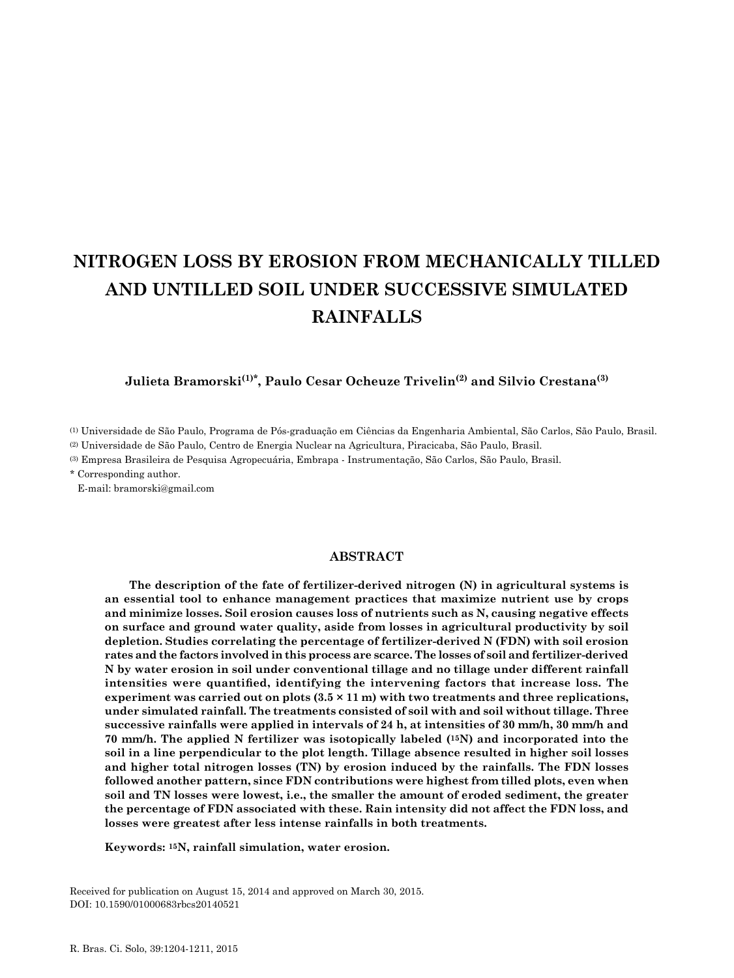# **Nitrogen Loss by Erosion from Mechanically Tilled and Untilled Soil under Successive Simulated Rainfalls**

# **Julieta Bramorski(1)\*, Paulo Cesar Ocheuze Trivelin(2) and Silvio Crestana(3)**

(1) Universidade de São Paulo, Programa de Pós-graduação em Ciências da Engenharia Ambiental, São Carlos, São Paulo, Brasil. (2) Universidade de São Paulo, Centro de Energia Nuclear na Agricultura, Piracicaba, São Paulo, Brasil.

(3) Empresa Brasileira de Pesquisa Agropecuária, Embrapa - Instrumentação, São Carlos, São Paulo, Brasil.

\* Corresponding author.

E-mail: bramorski@gmail.com

# **ABSTRACT**

**The description of the fate of fertilizer-derived nitrogen (N) in agricultural systems is an essential tool to enhance management practices that maximize nutrient use by crops and minimize losses. Soil erosion causes loss of nutrients such as N, causing negative effects on surface and ground water quality, aside from losses in agricultural productivity by soil depletion. Studies correlating the percentage of fertilizer-derived N (FDN) with soil erosion rates and the factors involved in this process are scarce. The losses of soil and fertilizer-derived N by water erosion in soil under conventional tillage and no tillage under different rainfall intensities were quantified, identifying the intervening factors that increase loss. The experiment was carried out on plots (3.5 × 11 m) with two treatments and three replications, under simulated rainfall. The treatments consisted of soil with and soil without tillage. Three successive rainfalls were applied in intervals of 24 h, at intensities of 30 mm/h, 30 mm/h and 70 mm/h. The applied N fertilizer was isotopically labeled (15N) and incorporated into the soil in a line perpendicular to the plot length. Tillage absence resulted in higher soil losses and higher total nitrogen losses (TN) by erosion induced by the rainfalls. The FDN losses followed another pattern, since FDN contributions were highest from tilled plots, even when soil and TN losses were lowest, i.e., the smaller the amount of eroded sediment, the greater the percentage of FDN associated with these. Rain intensity did not affect the FDN loss, and losses were greatest after less intense rainfalls in both treatments.**

**Keywords: 15N, rainfall simulation, water erosion.** 

Received for publication on August 15, 2014 and approved on March 30, 2015. DOI: 10.1590/01000683rbcs20140521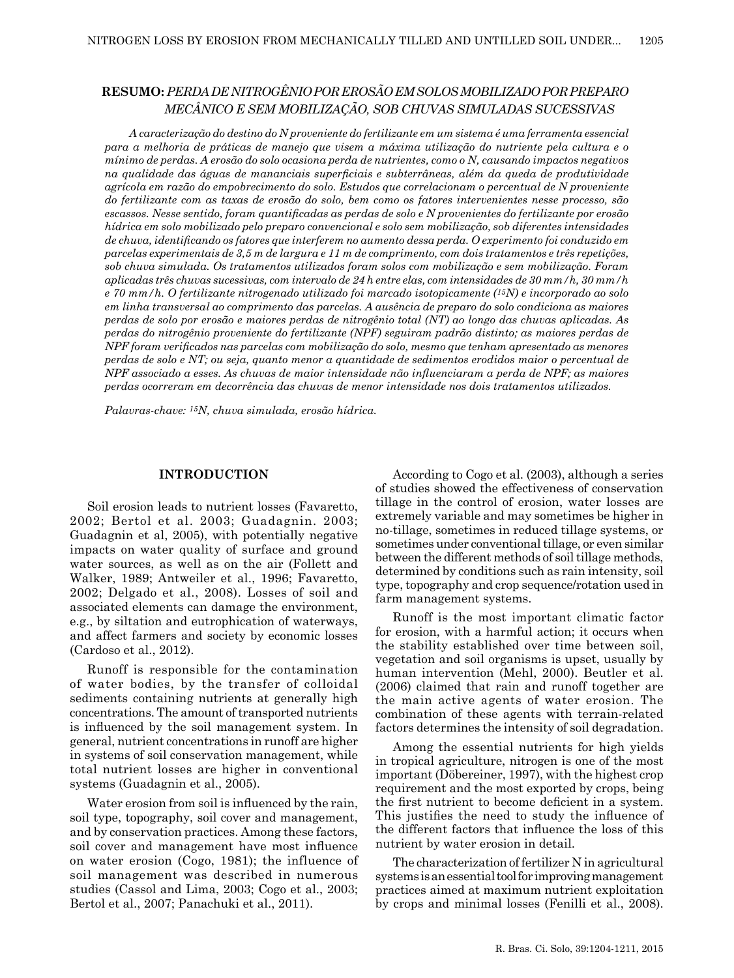# **RESUMO:** *Perda de Nitrogênio por Erosão em Solos Mobilizado por Preparo Mecânico e sem Mobilização, sob Chuvas Simuladas Sucessivas*

*A caracterização do destino do N proveniente do fertilizante em um sistema é uma ferramenta essencial para a melhoria de práticas de manejo que visem a máxima utilização do nutriente pela cultura e o mínimo de perdas. A erosão do solo ocasiona perda de nutrientes, como o N, causando impactos negativos na qualidade das águas de mananciais superficiais e subterrâneas, além da queda de produtividade agrícola em razão do empobrecimento do solo. Estudos que correlacionam o percentual de N proveniente do fertilizante com as taxas de erosão do solo, bem como os fatores intervenientes nesse processo, são escassos. Nesse sentido, foram quantificadas as perdas de solo e N provenientes do fertilizante por erosão hídrica em solo mobilizado pelo preparo convencional e solo sem mobilização, sob diferentes intensidades de chuva, identificando os fatores que interferem no aumento dessa perda. O experimento foi conduzido em parcelas experimentais de 3,5 m de largura e 11 m de comprimento, com dois tratamentos e três repetições, sob chuva simulada. Os tratamentos utilizados foram solos com mobilização e sem mobilização. Foram aplicadas três chuvas sucessivas, com intervalo de 24 h entre elas, com intensidades de 30 mm/h, 30 mm/h e 70 mm/h. O fertilizante nitrogenado utilizado foi marcado isotopicamente (15N) e incorporado ao solo em linha transversal ao comprimento das parcelas. A ausência de preparo do solo condiciona as maiores perdas de solo por erosão e maiores perdas de nitrogênio total (NT) ao longo das chuvas aplicadas. As perdas do nitrogênio proveniente do fertilizante (NPF) seguiram padrão distinto; as maiores perdas de NPF foram verificados nas parcelas com mobilização do solo, mesmo que tenham apresentado as menores perdas de solo e NT; ou seja, quanto menor a quantidade de sedimentos erodidos maior o percentual de NPF associado a esses. As chuvas de maior intensidade não influenciaram a perda de NPF; as maiores perdas ocorreram em decorrência das chuvas de menor intensidade nos dois tratamentos utilizados.* 

*Palavras-chave: 15N, chuva simulada, erosão hídrica.*

# **INTRODUCTION**

Soil erosion leads to nutrient losses (Favaretto, 2002; Bertol et al. 2003; Guadagnin. 2003; Guadagnin et al, 2005), with potentially negative impacts on water quality of surface and ground water sources, as well as on the air (Follett and Walker, 1989; Antweiler et al., 1996; Favaretto, 2002; Delgado et al., 2008). Losses of soil and associated elements can damage the environment, e.g., by siltation and eutrophication of waterways, and affect farmers and society by economic losses (Cardoso et al., 2012).

Runoff is responsible for the contamination of water bodies, by the transfer of colloidal sediments containing nutrients at generally high concentrations. The amount of transported nutrients is influenced by the soil management system. In general, nutrient concentrations in runoff are higher in systems of soil conservation management, while total nutrient losses are higher in conventional systems (Guadagnin et al., 2005).

Water erosion from soil is influenced by the rain, soil type, topography, soil cover and management, and by conservation practices. Among these factors, soil cover and management have most influence on water erosion (Cogo, 1981); the influence of soil management was described in numerous studies (Cassol and Lima, 2003; Cogo et al., 2003; Bertol et al., 2007; Panachuki et al., 2011).

According to Cogo et al. (2003), although a series of studies showed the effectiveness of conservation tillage in the control of erosion, water losses are extremely variable and may sometimes be higher in no-tillage, sometimes in reduced tillage systems, or sometimes under conventional tillage, or even similar between the different methods of soil tillage methods, determined by conditions such as rain intensity, soil type, topography and crop sequence/rotation used in farm management systems.

Runoff is the most important climatic factor for erosion, with a harmful action; it occurs when the stability established over time between soil, vegetation and soil organisms is upset, usually by human intervention (Mehl, 2000). Beutler et al. (2006) claimed that rain and runoff together are the main active agents of water erosion. The combination of these agents with terrain-related factors determines the intensity of soil degradation.

Among the essential nutrients for high yields in tropical agriculture, nitrogen is one of the most important (Döbereiner, 1997), with the highest crop requirement and the most exported by crops, being the first nutrient to become deficient in a system. This justifies the need to study the influence of the different factors that influence the loss of this nutrient by water erosion in detail.

The characterization of fertilizer N in agricultural systems is an essential tool for improving management practices aimed at maximum nutrient exploitation by crops and minimal losses (Fenilli et al., 2008).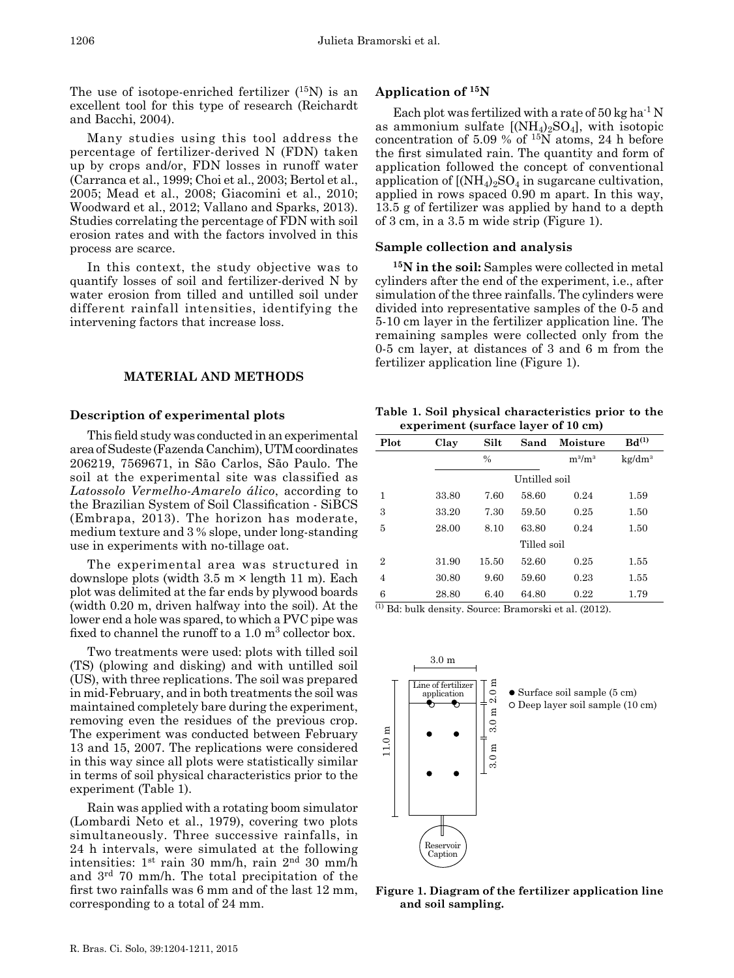The use of isotope-enriched fertilizer  $({}^{15}N)$  is an excellent tool for this type of research (Reichardt and Bacchi, 2004).

Many studies using this tool address the percentage of fertilizer-derived N (FDN) taken up by crops and/or, FDN losses in runoff water (Carranca et al., 1999; Choi et al., 2003; Bertol et al., 2005; Mead et al., 2008; Giacomini et al., 2010; Woodward et al., 2012; Vallano and Sparks, 2013). Studies correlating the percentage of FDN with soil erosion rates and with the factors involved in this process are scarce.

In this context, the study objective was to quantify losses of soil and fertilizer-derived N by water erosion from tilled and untilled soil under different rainfall intensities, identifying the intervening factors that increase loss.

## **MATERIAL AND METHODS**

# **Description of experimental plots**

This field study was conducted in an experimental area of Sudeste (Fazenda Canchim), UTM coordinates 206219, 7569671, in São Carlos, São Paulo. The soil at the experimental site was classified as *Latossolo Vermelho-Amarelo álico*, according to the Brazilian System of Soil Classification - SiBCS (Embrapa, 2013). The horizon has moderate, medium texture and 3 % slope, under long-standing use in experiments with no-tillage oat.

The experimental area was structured in downslope plots (width  $3.5 \text{ m} \times \text{length} 11 \text{ m}$ ). Each plot was delimited at the far ends by plywood boards (width 0.20 m, driven halfway into the soil). At the lower end a hole was spared, to which a PVC pipe was fixed to channel the runoff to a  $1.0 \text{ m}^3$  collector box.

Two treatments were used: plots with tilled soil (TS) (plowing and disking) and with untilled soil (US), with three replications. The soil was prepared in mid-February, and in both treatments the soil was maintained completely bare during the experiment, removing even the residues of the previous crop. The experiment was conducted between February 13 and 15, 2007. The replications were considered in this way since all plots were statistically similar in terms of soil physical characteristics prior to the experiment (Table 1).

Rain was applied with a rotating boom simulator (Lombardi Neto et al., 1979), covering two plots simultaneously. Three successive rainfalls, in 24 h intervals, were simulated at the following intensities:  $1<sup>st</sup>$  rain 30 mm/h, rain  $2<sup>nd</sup>$  30 mm/h and 3rd 70 mm/h. The total precipitation of the first two rainfalls was 6 mm and of the last 12 mm, corresponding to a total of 24 mm.

# **Application of 15N**

Each plot was fertilized with a rate of  $50 \text{ kg}$  ha<sup>-1</sup> N as ammonium sulfate  $[(NH_4)_2SO_4]$ , with isotopic concentration of 5.09 % of  $15N$  atoms, 24 h before the first simulated rain. The quantity and form of application followed the concept of conventional application of  $\left[\frac{\text{NH}_4}{2}\right]$  in sugarcane cultivation, applied in rows spaced 0.90 m apart. In this way, 13.5 g of fertilizer was applied by hand to a depth of 3 cm, in a 3.5 m wide strip (Figure 1).

#### **Sample collection and analysis**

**15N in the soil:** Samples were collected in metal cylinders after the end of the experiment, i.e., after simulation of the three rainfalls. The cylinders were divided into representative samples of the 0-5 and 5-10 cm layer in the fertilizer application line. The remaining samples were collected only from the 0-5 cm layer, at distances of 3 and 6 m from the fertilizer application line (Figure 1).

**Table 1. Soil physical characteristics prior to the experiment (surface layer of 10 cm)**

| Plot                             | Clay          | Silt          | Sand  | <b>Moisture</b> | $Bd^{(1)}$         |  |  |  |  |
|----------------------------------|---------------|---------------|-------|-----------------|--------------------|--|--|--|--|
|                                  |               | $\frac{0}{0}$ |       | $m^3/m^3$       | kg/dm <sup>3</sup> |  |  |  |  |
|                                  | Untilled soil |               |       |                 |                    |  |  |  |  |
| 1                                | 33.80         | 7.60          | 58.60 | 0.24            | 1.59               |  |  |  |  |
| 3                                | 33.20         | 7.30          | 59.50 | 0.25            | 1.50               |  |  |  |  |
| 5                                | 28.00         | 8.10          | 63.80 | 0.24            | 1.50               |  |  |  |  |
|                                  | Tilled soil   |               |       |                 |                    |  |  |  |  |
| $\overline{2}$                   | 31.90         | 15.50         | 52.60 | 0.25            | 1.55               |  |  |  |  |
| $\overline{4}$                   | 30.80         | 9.60          | 59.60 | 0.23            | 1.55               |  |  |  |  |
| 6<br>$\mathcal{L} = \mathcal{L}$ | 28.80         | 6.40          | 64.80 | 0.22            | 1.79               |  |  |  |  |

(1) Bd: bulk density. Source: Bramorski et al. (2012).



**Figure 1. Diagram of the fertilizer application line and soil sampling.**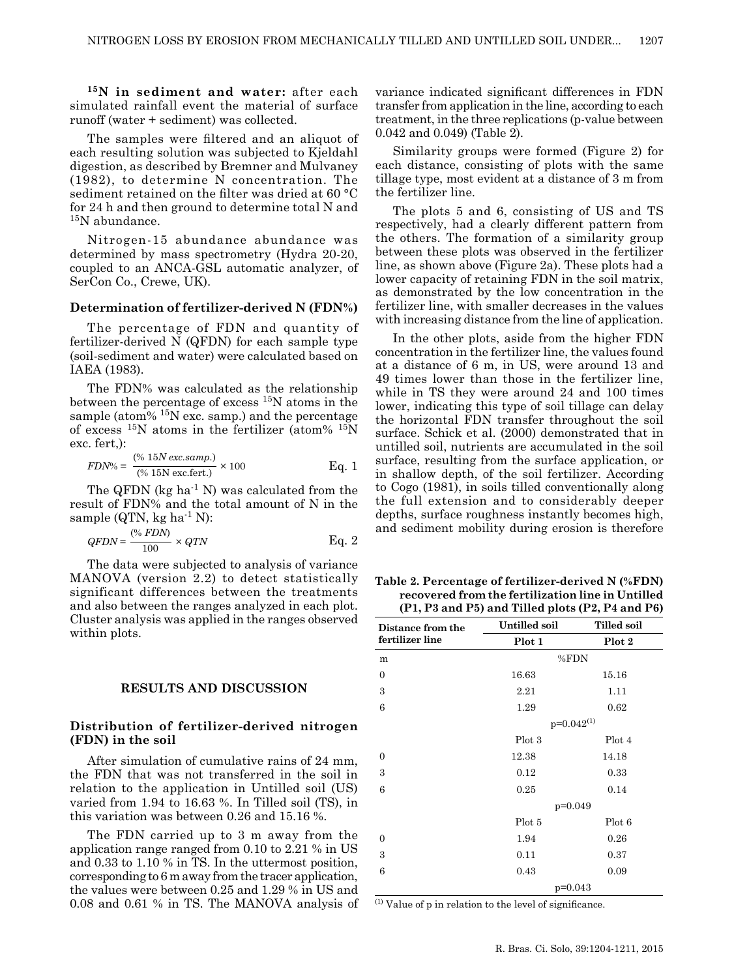**15N in sediment and water:** after each simulated rainfall event the material of surface runoff (water + sediment) was collected.

The samples were filtered and an aliquot of each resulting solution was subjected to Kjeldahl digestion, as described by Bremner and Mulvaney (1982), to determine N concentration. The sediment retained on the filter was dried at 60 °C for 24 h and then ground to determine total N and  $15N$  abundance.

Nitrogen-15 abundance abundance was determined by mass spectrometry (Hydra 20-20, coupled to an ANCA-GSL automatic analyzer, of SerCon Co., Crewe, UK).

#### **Determination of fertilizer-derived N (FDN%)**

The percentage of FDN and quantity of fertilizer-derived N (QFDN) for each sample type (soil-sediment and water) were calculated based on IAEA (1983).

The FDN% was calculated as the relationship between the percentage of excess 15N atoms in the sample (atom% <sup>15</sup>N exc. samp.) and the percentage of excess  $^{15}N$  atoms in the fertilizer (atom%  $^{15}N$ exc. fert,):

$$
FDN\% = \frac{(\%~15N~exc.samp.)}{(\%~15N~exc.fert.)} \times 100
$$
 Eq. 1

The QFDN ( $kg \text{ ha}^{-1}$  N) was calculated from the result of FDN% and the total amount of N in the sample (QTN,  $kg$  ha<sup>-1</sup> N):

$$
QFDN = \frac{(\% FDN)}{100} \times QTN \qquad \qquad Eq. 2
$$

The data were subjected to analysis of variance MANOVA (version 2.2) to detect statistically significant differences between the treatments and also between the ranges analyzed in each plot. Cluster analysis was applied in the ranges observed within plots.

#### **RESULTS AND DISCUSSION**

## **Distribution of fertilizer-derived nitrogen (FDN) in the soil**

After simulation of cumulative rains of 24 mm, the FDN that was not transferred in the soil in relation to the application in Untilled soil (US) varied from 1.94 to 16.63 %. In Tilled soil (TS), in this variation was between 0.26 and 15.16 %.

The FDN carried up to 3 m away from the application range ranged from 0.10 to 2.21 % in US and 0.33 to 1.10 % in TS. In the uttermost position, corresponding to 6 m away from the tracer application, the values were between 0.25 and 1.29 % in US and 0.08 and 0.61 % in TS. The MANOVA analysis of

variance indicated significant differences in FDN transfer from application in the line, according to each treatment, in the three replications (p-value between 0.042 and 0.049) (Table 2).

Similarity groups were formed (Figure 2) for each distance, consisting of plots with the same tillage type, most evident at a distance of 3 m from the fertilizer line.

The plots 5 and 6, consisting of US and TS respectively, had a clearly different pattern from the others. The formation of a similarity group between these plots was observed in the fertilizer line, as shown above (Figure 2a). These plots had a lower capacity of retaining FDN in the soil matrix, as demonstrated by the low concentration in the fertilizer line, with smaller decreases in the values with increasing distance from the line of application.

In the other plots, aside from the higher FDN concentration in the fertilizer line, the values found at a distance of 6 m, in US, were around 13 and 49 times lower than those in the fertilizer line, while in TS they were around 24 and 100 times lower, indicating this type of soil tillage can delay the horizontal FDN transfer throughout the soil surface. Schick et al. (2000) demonstrated that in untilled soil, nutrients are accumulated in the soil surface, resulting from the surface application, or in shallow depth, of the soil fertilizer. According to Cogo (1981), in soils tilled conventionally along the full extension and to considerably deeper depths, surface roughness instantly becomes high, and sediment mobility during erosion is therefore

**Table 2. Percentage of fertilizer-derived N (%FDN) recovered from the fertilization line in Untilled (P1, P3 and P5) and Tilled plots (P2, P4 and P6)**

| Distance from the | Untilled soil | <b>Tilled soil</b> |  |  |  |
|-------------------|---------------|--------------------|--|--|--|
| fertilizer line   | Plot 1        | Plot 2             |  |  |  |
| m                 | %FDN          |                    |  |  |  |
| $\boldsymbol{0}$  | 16.63         | 15.16              |  |  |  |
| 3                 | 2.21          | 1.11               |  |  |  |
| 6                 | 1.29          | 0.62               |  |  |  |
|                   | $p=0.042(1)$  |                    |  |  |  |
|                   | Plot 3        | Plot 4             |  |  |  |
| $\boldsymbol{0}$  | 12.38         | 14.18              |  |  |  |
| 3                 | 0.12          | 0.33               |  |  |  |
| 6                 | 0.25          | 0.14               |  |  |  |
|                   | $p=0.049$     |                    |  |  |  |
|                   | Plot 5        | Plot 6             |  |  |  |
| $\boldsymbol{0}$  | 1.94          | 0.26               |  |  |  |
| 3                 | 0.11          | 0.37               |  |  |  |
| 6                 | 0.43          | 0.09               |  |  |  |
|                   | $p=0.043$     |                    |  |  |  |

 $(1)$  Value of p in relation to the level of significance.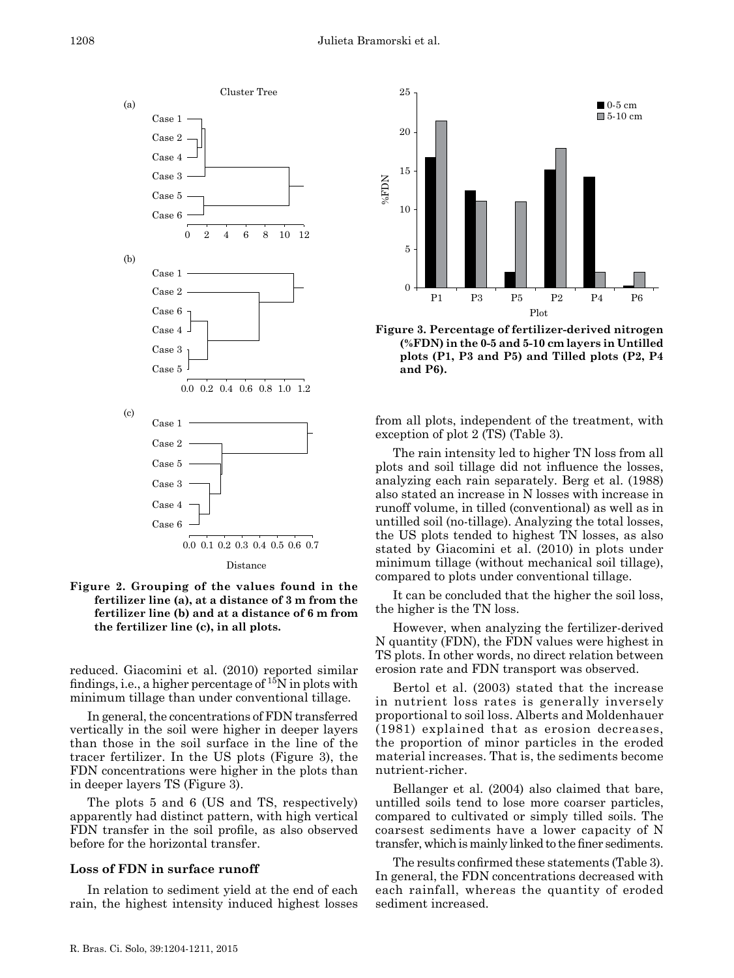

**Figure 2. Grouping of the values found in the fertilizer line (a), at a distance of 3 m from the fertilizer line (b) and at a distance of 6 m from the fertilizer line (c), in all plots.**

reduced. Giacomini et al. (2010) reported similar findings, i.e., a higher percentage of  $^{15}N$  in plots with minimum tillage than under conventional tillage.

In general, the concentrations of FDN transferred vertically in the soil were higher in deeper layers than those in the soil surface in the line of the tracer fertilizer. In the US plots (Figure 3), the FDN concentrations were higher in the plots than in deeper layers TS (Figure 3).

The plots 5 and 6 (US and TS, respectively) apparently had distinct pattern, with high vertical FDN transfer in the soil profile, as also observed before for the horizontal transfer.

# **Loss of FDN in surface runoff**

In relation to sediment yield at the end of each rain, the highest intensity induced highest losses



**Figure 3. Percentage of fertilizer-derived nitrogen (%FDN) in the 0-5 and 5-10 cm layers in Untilled plots (P1, P3 and P5) and Tilled plots (P2, P4 and P6).**

from all plots, independent of the treatment, with exception of plot 2 (TS) (Table 3).

The rain intensity led to higher TN loss from all plots and soil tillage did not influence the losses, analyzing each rain separately. Berg et al. (1988) also stated an increase in N losses with increase in runoff volume, in tilled (conventional) as well as in untilled soil (no-tillage). Analyzing the total losses, the US plots tended to highest TN losses, as also stated by Giacomini et al. (2010) in plots under minimum tillage (without mechanical soil tillage), compared to plots under conventional tillage.

It can be concluded that the higher the soil loss, the higher is the TN loss.

However, when analyzing the fertilizer-derived N quantity (FDN), the FDN values were highest in TS plots. In other words, no direct relation between erosion rate and FDN transport was observed.

Bertol et al. (2003) stated that the increase in nutrient loss rates is generally inversely proportional to soil loss. Alberts and Moldenhauer (1981) explained that as erosion decreases, the proportion of minor particles in the eroded material increases. That is, the sediments become nutrient-richer.

Bellanger et al. (2004) also claimed that bare, untilled soils tend to lose more coarser particles, compared to cultivated or simply tilled soils. The coarsest sediments have a lower capacity of N transfer, which is mainly linked to the finer sediments.

The results confirmed these statements (Table 3). In general, the FDN concentrations decreased with each rainfall, whereas the quantity of eroded sediment increased.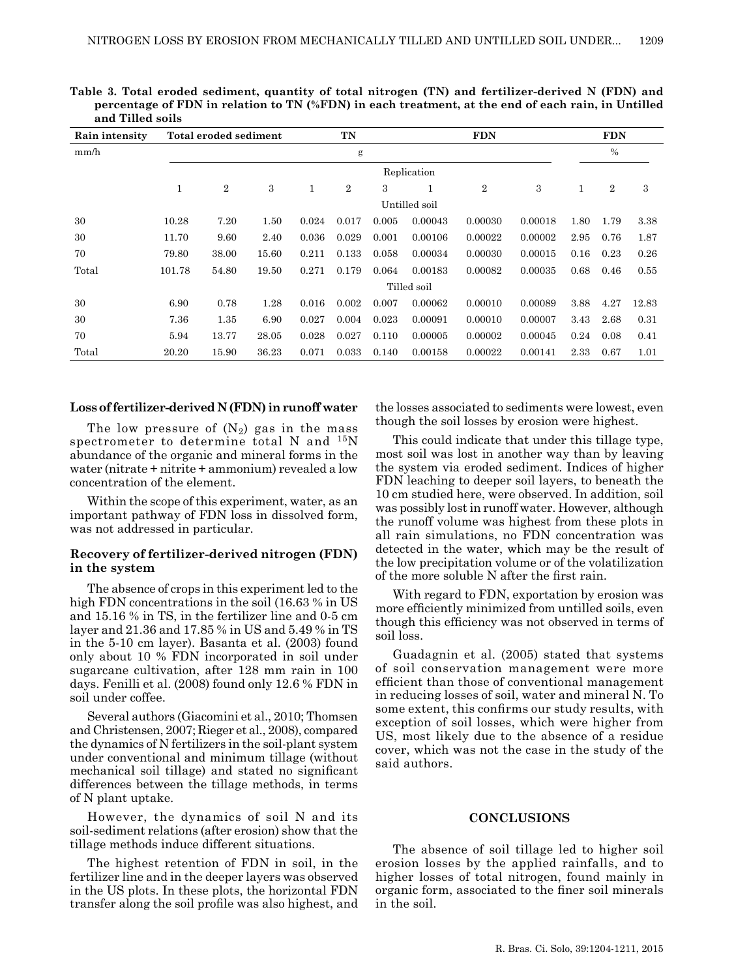| Rain intensity | Total eroded sediment |                |       | TN    |                | <b>FDN</b> |              | <b>FDN</b>     |               |              |                |       |
|----------------|-----------------------|----------------|-------|-------|----------------|------------|--------------|----------------|---------------|--------------|----------------|-------|
| mm/h           |                       |                |       | g     |                |            |              |                | $\frac{0}{0}$ |              |                |       |
|                | Replication           |                |       |       |                |            |              |                |               |              |                |       |
|                | 1                     | $\overline{2}$ | 3     | 1     | $\overline{2}$ | 3          | $\mathbf{1}$ | $\overline{2}$ | 3             | $\mathbf{1}$ | $\overline{2}$ | 3     |
|                | Untilled soil         |                |       |       |                |            |              |                |               |              |                |       |
| 30             | 10.28                 | 7.20           | 1.50  | 0.024 | 0.017          | 0.005      | 0.00043      | 0.00030        | 0.00018       | 1.80         | 1.79           | 3.38  |
| 30             | 11.70                 | 9.60           | 2.40  | 0.036 | 0.029          | 0.001      | 0.00106      | 0.00022        | 0.00002       | 2.95         | 0.76           | 1.87  |
| 70             | 79.80                 | 38.00          | 15.60 | 0.211 | 0.133          | 0.058      | 0.00034      | 0.00030        | 0.00015       | 0.16         | 0.23           | 0.26  |
| Total          | 101.78                | 54.80          | 19.50 | 0.271 | 0.179          | 0.064      | 0.00183      | 0.00082        | 0.00035       | 0.68         | 0.46           | 0.55  |
|                | Tilled soil           |                |       |       |                |            |              |                |               |              |                |       |
| 30             | 6.90                  | 0.78           | 1.28  | 0.016 | 0.002          | 0.007      | 0.00062      | 0.00010        | 0.00089       | 3.88         | 4.27           | 12.83 |
| 30             | 7.36                  | 1.35           | 6.90  | 0.027 | 0.004          | 0.023      | 0.00091      | 0.00010        | 0.00007       | 3.43         | 2.68           | 0.31  |
| 70             | 5.94                  | 13.77          | 28.05 | 0.028 | 0.027          | 0.110      | 0.00005      | 0.00002        | 0.00045       | 0.24         | 0.08           | 0.41  |
| Total          | 20.20                 | 15.90          | 36.23 | 0.071 | 0.033          | 0.140      | 0.00158      | 0.00022        | 0.00141       | 2.33         | 0.67           | 1.01  |

**Table 3. Total eroded sediment, quantity of total nitrogen (TN) and fertilizer-derived N (FDN) and percentage of FDN in relation to TN (%FDN) in each treatment, at the end of each rain, in Untilled and Tilled soils**

# **Loss of fertilizer-derived N (FDN) in runoff water**

The low pressure of  $(N_2)$  gas in the mass spectrometer to determine total N and 15N abundance of the organic and mineral forms in the water (nitrate + nitrite + ammonium) revealed a low concentration of the element.

Within the scope of this experiment, water, as an important pathway of FDN loss in dissolved form, was not addressed in particular.

# **Recovery of fertilizer-derived nitrogen (FDN) in the system**

The absence of crops in this experiment led to the high FDN concentrations in the soil (16.63 % in US and 15.16 % in TS, in the fertilizer line and 0-5 cm layer and 21.36 and 17.85 % in US and 5.49 % in TS in the 5-10 cm layer). Basanta et al. (2003) found only about 10 % FDN incorporated in soil under sugarcane cultivation, after 128 mm rain in 100 days. Fenilli et al. (2008) found only 12.6 % FDN in soil under coffee.

Several authors (Giacomini et al., 2010; Thomsen and Christensen, 2007; Rieger et al., 2008), compared the dynamics of N fertilizers in the soil-plant system under conventional and minimum tillage (without mechanical soil tillage) and stated no significant differences between the tillage methods, in terms of N plant uptake.

However, the dynamics of soil N and its soil-sediment relations (after erosion) show that the tillage methods induce different situations.

The highest retention of FDN in soil, in the fertilizer line and in the deeper layers was observed in the US plots. In these plots, the horizontal FDN transfer along the soil profile was also highest, and

the losses associated to sediments were lowest, even though the soil losses by erosion were highest.

This could indicate that under this tillage type, most soil was lost in another way than by leaving the system via eroded sediment. Indices of higher FDN leaching to deeper soil layers, to beneath the 10 cm studied here, were observed. In addition, soil was possibly lost in runoff water. However, although the runoff volume was highest from these plots in all rain simulations, no FDN concentration was detected in the water, which may be the result of the low precipitation volume or of the volatilization of the more soluble N after the first rain.

With regard to FDN, exportation by erosion was more efficiently minimized from untilled soils, even though this efficiency was not observed in terms of soil loss.

Guadagnin et al. (2005) stated that systems of soil conservation management were more efficient than those of conventional management in reducing losses of soil, water and mineral N. To some extent, this confirms our study results, with exception of soil losses, which were higher from US, most likely due to the absence of a residue cover, which was not the case in the study of the said authors.

# **CONCLUSIONS**

The absence of soil tillage led to higher soil erosion losses by the applied rainfalls, and to higher losses of total nitrogen, found mainly in organic form, associated to the finer soil minerals in the soil.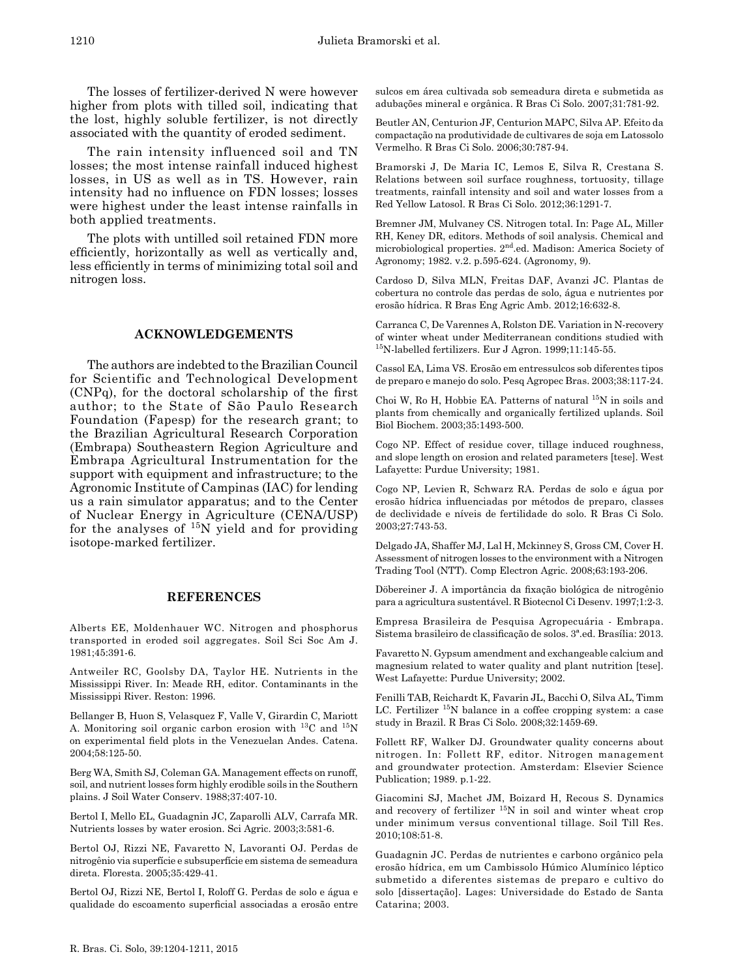The losses of fertilizer-derived N were however higher from plots with tilled soil, indicating that the lost, highly soluble fertilizer, is not directly associated with the quantity of eroded sediment.

The rain intensity influenced soil and TN losses; the most intense rainfall induced highest losses, in US as well as in TS. However, rain intensity had no influence on FDN losses; losses were highest under the least intense rainfalls in both applied treatments.

The plots with untilled soil retained FDN more efficiently, horizontally as well as vertically and, less efficiently in terms of minimizing total soil and nitrogen loss.

#### **ACKNOWLEDGEMENTS**

The authors are indebted to the Brazilian Council for Scientific and Technological Development (CNPq), for the doctoral scholarship of the first author; to the State of São Paulo Research Foundation (Fapesp) for the research grant; to the Brazilian Agricultural Research Corporation (Embrapa) Southeastern Region Agriculture and Embrapa Agricultural Instrumentation for the support with equipment and infrastructure; to the Agronomic Institute of Campinas (IAC) for lending us a rain simulator apparatus; and to the Center of Nuclear Energy in Agriculture (CENA/USP) for the analyses of <sup>15</sup>N yield and for providing isotope-marked fertilizer.

#### **REFERENCES**

Alberts EE, Moldenhauer WC. Nitrogen and phosphorus transported in eroded soil aggregates. Soil Sci Soc Am J. 1981;45:391-6.

Antweiler RC, Goolsby DA, Taylor HE. Nutrients in the Mississippi River. In: Meade RH, editor. Contaminants in the Mississippi River. Reston: 1996.

Bellanger B, Huon S, Velasquez F, Valle V, Girardin C, Mariott A. Monitoring soil organic carbon erosion with 13C and 15N on experimental field plots in the Venezuelan Andes. Catena. 2004;58:125-50.

Berg WA, Smith SJ, Coleman GA. Management effects on runoff, soil, and nutrient losses form highly erodible soils in the Southern plains. J Soil Water Conserv. 1988;37:407-10.

Bertol I, Mello EL, Guadagnin JC, Zaparolli ALV, Carrafa MR. Nutrients losses by water erosion. Sci Agric. 2003;3:581-6.

Bertol OJ, Rizzi NE, Favaretto N, Lavoranti OJ. Perdas de nitrogênio via superfície e subsuperfície em sistema de semeadura direta. Floresta. 2005;35:429-41.

Bertol OJ, Rizzi NE, Bertol I, Roloff G. Perdas de solo e água e qualidade do escoamento superficial associadas a erosão entre sulcos em área cultivada sob semeadura direta e submetida as adubações mineral e orgânica. R Bras Ci Solo. 2007;31:781-92.

Beutler AN, Centurion JF, Centurion MAPC, Silva AP. Efeito da compactação na produtividade de cultivares de soja em Latossolo Vermelho. R Bras Ci Solo. 2006;30:787-94.

Bramorski J, De Maria IC, Lemos E, Silva R, Crestana S. Relations between soil surface roughness, tortuosity, tillage treatments, rainfall intensity and soil and water losses from a Red Yellow Latosol. R Bras Ci Solo. 2012;36:1291-7.

Bremner JM, Mulvaney CS. Nitrogen total. In: Page AL, Miller RH, Keney DR, editors. Methods of soil analysis. Chemical and microbiological properties. 2<sup>nd</sup>.ed. Madison: America Society of Agronomy; 1982. v.2. p.595-624. (Agronomy, 9).

Cardoso D, Silva MLN, Freitas DAF, Avanzi JC. Plantas de cobertura no controle das perdas de solo, água e nutrientes por erosão hídrica. R Bras Eng Agric Amb. 2012;16:632-8.

Carranca C, De Varennes A, Rolston DE. Variation in N-recovery of winter wheat under Mediterranean conditions studied with 15N-labelled fertilizers. Eur J Agron. 1999;11:145-55.

Cassol EA, Lima VS. Erosão em entressulcos sob diferentes tipos de preparo e manejo do solo. Pesq Agropec Bras. 2003;38:117-24.

Choi W, Ro H, Hobbie EA. Patterns of natural <sup>15</sup>N in soils and plants from chemically and organically fertilized uplands. Soil Biol Biochem. 2003;35:1493-500.

Cogo NP. Effect of residue cover, tillage induced roughness, and slope length on erosion and related parameters [tese]. West Lafayette: Purdue University; 1981.

Cogo NP, Levien R, Schwarz RA. Perdas de solo e água por erosão hídrica influenciadas por métodos de preparo, classes de declividade e níveis de fertilidade do solo. R Bras Ci Solo. 2003;27:743-53.

Delgado JA, Shaffer MJ, Lal H, Mckinney S, Gross CM, Cover H. Assessment of nitrogen losses to the environment with a Nitrogen Trading Tool (NTT). Comp Electron Agric. 2008;63:193-206.

Döbereiner J. A importância da fixação biológica de nitrogênio para a agricultura sustentável. R Biotecnol Ci Desenv. 1997;1:2-3.

Empresa Brasileira de Pesquisa Agropecuária - Embrapa. Sistema brasileiro de classificação de solos. 3ª.ed. Brasília: 2013.

Favaretto N. Gypsum amendment and exchangeable calcium and magnesium related to water quality and plant nutrition [tese]. West Lafayette: Purdue University; 2002.

Fenilli TAB, Reichardt K, Favarin JL, Bacchi O, Silva AL, Timm LC. Fertilizer <sup>15</sup>N balance in a coffee cropping system: a case study in Brazil. R Bras Ci Solo. 2008;32:1459-69.

Follett RF, Walker DJ. Groundwater quality concerns about nitrogen. In: Follett RF, editor. Nitrogen management and groundwater protection. Amsterdam: Elsevier Science Publication; 1989. p.1-22.

Giacomini SJ, Machet JM, Boizard H, Recous S. Dynamics and recovery of fertilizer  ${}^{15}N$  in soil and winter wheat crop under minimum versus conventional tillage. Soil Till Res. 2010;108:51-8.

Guadagnin JC. Perdas de nutrientes e carbono orgânico pela erosão hídrica, em um Cambissolo Húmico Alumínico léptico submetido a diferentes sistemas de preparo e cultivo do solo [dissertação]. Lages: Universidade do Estado de Santa Catarina; 2003.